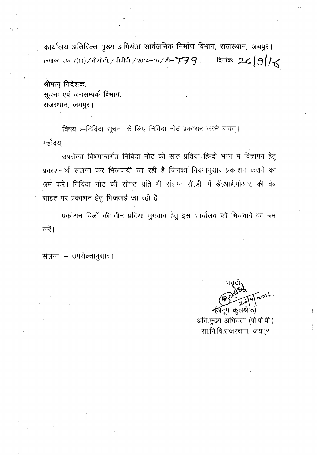कार्यालय अतिरिक्त मुख्य अभियंता सार्वजनिक निर्माण विभाग, राजस्थान, जयपुर। दिनांकः 26/9/16 क्रमांकः एफ 7(11) / बीओटी / पीपीपी / 2014-15 / डी-  $\boldsymbol{779}$ 

श्रीमान् निदेशक, सूचना एवं जनसम्पर्क विभाग, राजस्थान, जयपुर।

铁一

विषय :--निविदा सूचना के लिए निविदा नोट प्रकाशन करने बाबत् । महोदय,

उपरोक्त विषयान्तर्गत निविदा नोट की सात प्रतियां हिन्दी भाषा में विज्ञापन हेतु प्रकाशनार्थ संलग्न कर भिजवायी जा रही है जिनका नियमानुसार प्रकाशन कराने का श्रम करें। निविदा नोट की सोफ्ट प्रति भी संलग्न सी.डी. में डी.आई.पीआर. की वेब साइट पर प्रकाशन हेतू भिजवाई जा रही है।

प्रकाशन बिलों की तीन प्रतिया भुगतान हेतू इस कार्यालय को भिजवाने का श्रम करें।

संलग्न :- उपरोक्तानुसार।

احہ (अनूप कुलश्रेष्ठ)

अति. मुख्य अभियंता (पी.पी.पी.) सा.नि.वि.राजस्थान, जयपुर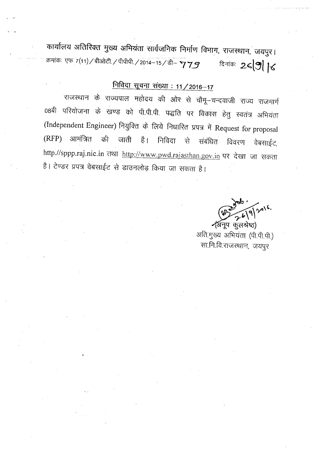कार्यालय अतिरिक्त मुख्य अभियंता सार्वजनिक निर्माण विभाग, राजस्थान, जयपुर। . क्रमांकः एफ 7(11) / बीओटी / पीपीपी / 2014-15 / डी- **'7 7 9** बिनांकः 2<

## **Hिविदा सूचना संख्या : 11 / 2016-17**

राजस्थान के राज्यपाल महोदय की ओर से चौमू—चन्दवाजी राज्य राजमार्ग 08बी परियोजना के खण्ड को पी.पी.पी. पद्धति पर विकास हेतु स्वतंत्र अभियंता (Independent Engineer) नियुक्ति के लिये निधारित प्रपत्र में Request for proposal (RFP) आमंत्रित की जाती है। निविदा से संबंधित विवरण वेबसाईट, http.//sppp.raj.nic.in तथा http://www.pwd.rajasthan.gov.in पर देखा जा सकता है। टेण्डर प्रपत्र वेबसाईट से डाउनलोड़ किया जा सकता है।

 $9)^{2416}$ र्(अनूप कुलश्रेष्ठ)

अति.मुख्य अभियंता (पी.पी.पी.) सा.नि.वि.राजस्थान, जयपुर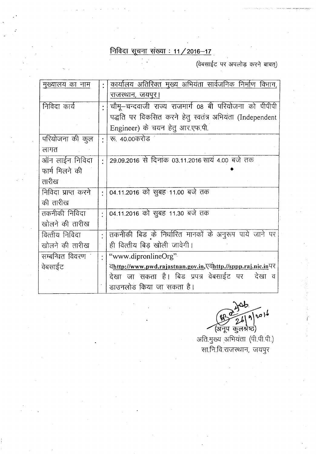## **PffqGI ~ ~: 11/2016-17.**

 $(d$ बसाईट पर अपलोड़ करने बाबत्)

| मुख्यालय का नाम     | $\ddot{\cdot}$ | कार्यालय अतिरिक्त मुख्य अभियंता सार्वजनिक निर्माण विभाग,    |  |  |
|---------------------|----------------|-------------------------------------------------------------|--|--|
|                     |                | राजस्थान, जयपुर।                                            |  |  |
| निविदा कार्य        |                | चौमू—चन्दवाजी राज्य राजमार्ग 08 बी परियोजना को पीपीपी       |  |  |
|                     |                | पद्धति पर विकसित करने हेतू स्वतंत्र अभियंता (Independent    |  |  |
|                     |                | Engineer) के चयन हेतू आर.एफ.पी.                             |  |  |
| परियोजना की कूल     | $\bullet$      | रू. 40.00करोड                                               |  |  |
| लागत                |                |                                                             |  |  |
| ऑन लाईन निविदा      |                | 29.09.2016 से दिनांक 03.11.2016 सायं 4.00 बजे तक            |  |  |
| फार्म मिलने की      |                |                                                             |  |  |
| तारीख               |                |                                                             |  |  |
| निविदा प्राप्त करने |                | 04.11.2016 को सुबह 11.00 बजे तक                             |  |  |
| की तारीख            |                |                                                             |  |  |
| तकनीकी निविदा       |                | 04.11.2016 को सुबह 11.30 बजे तक                             |  |  |
| खोलने की तारीख      |                |                                                             |  |  |
| वित्तीय निविदा      |                | तकनीकी बिड के निर्धारित मानकों के अनुरूप पाये जाने पर       |  |  |
| खोलने की तारीख      |                | ही वित्तीय बिड खोली जावेगी।                                 |  |  |
| सम्बन्धित विवरण `   |                | "www.dipronlineOrg"                                         |  |  |
| वेबसाईट             |                | वhttp://www.pwd.rajastnan.gov.in,एवhttp.//sppp.raj.nic.inपर |  |  |
|                     |                | देखा जा सकता है। बिड प्रपत्र वेबसाईट पर  देखा व             |  |  |
|                     |                | डाउनलोड किया जा सकता है।                                    |  |  |

 $\sqrt{121}$ A) 2

(अनूप कुलश्रेष्ठ)<br>अति.मुख्य अभियंता (पी.पी.पी.) सा.नि.वि.राजस्थान, जयपुर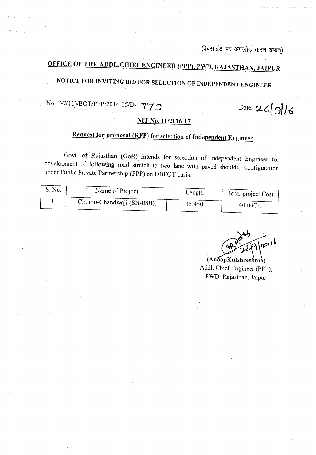(वेबसाईट पर अपलोड़ करने बाबत्)

#### ~ I **OFFICE OF THE ADDL.CHIEF** ENGINEER JPPP}, **PWD, RAJASTHAN, JAIPUR**

# **. NOTICE FOR INVITING BID FOR SELECTION OF INDEPENDENT ENGINEER**

# No. *F-7(11YBOT/PPP/2014-151D-* **"'17 ~**

Date: **26{***311~*

#### **NIT No. 1112016-17**

## **Request for proposal (RFP) for selection of Independent Engineer**

Govt. of Rajasthan (GoR) intends for selection of Independent Engineer for development of following road stretch to two lane with paved shoulder configuration under Public Private Partnership (PPP) on DBFOT basis.

| S. No. | Name of Project          | Length | Total project Cost |
|--------|--------------------------|--------|--------------------|
|        | Chomu-Chandwaji (SH-08B) | 15.450 | 40.00Cr            |

 $\sqrt{216}$ 

 $(AnoopKulshreshtha)$ Addl. Chief Engineer (PPP), PWD. Rajasthan, Jaipur